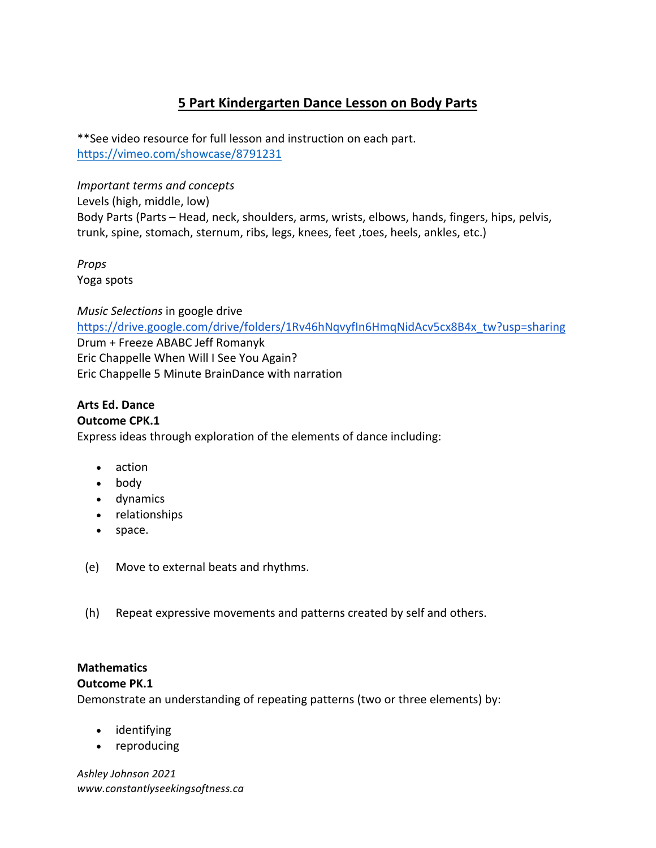# **5 Part Kindergarten Dance Lesson on Body Parts**

\*\*See video resource for full lesson and instruction on each part. https://vimeo.com/showcase/8791231

*Important terms and concepts* Levels (high, middle, low) Body Parts (Parts – Head, neck, shoulders, arms, wrists, elbows, hands, fingers, hips, pelvis, trunk, spine, stomach, sternum, ribs, legs, knees, feet, toes, heels, ankles, etc.)

*Props* Yoga spots

**Music Selections in google drive** https://drive.google.com/drive/folders/1Rv46hNqvyfIn6HmqNidAcv5cx8B4x\_tw?usp=sharing Drum + Freeze ABABC Jeff Romanyk Eric Chappelle When Will I See You Again? Eric Chappelle 5 Minute BrainDance with narration

#### Arts Ed. Dance **Outcome CPK.1**

Express ideas through exploration of the elements of dance including:

- action
- body
- dynamics
- relationships
- space.
- (e) Move to external beats and rhythms.
- (h) Repeat expressive movements and patterns created by self and others.

# **Mathematics**

### **Outcome PK.1**

Demonstrate an understanding of repeating patterns (two or three elements) by:

- identifying
- reproducing

*Ashley Johnson 2021 www.constantlyseekingsoftness.ca*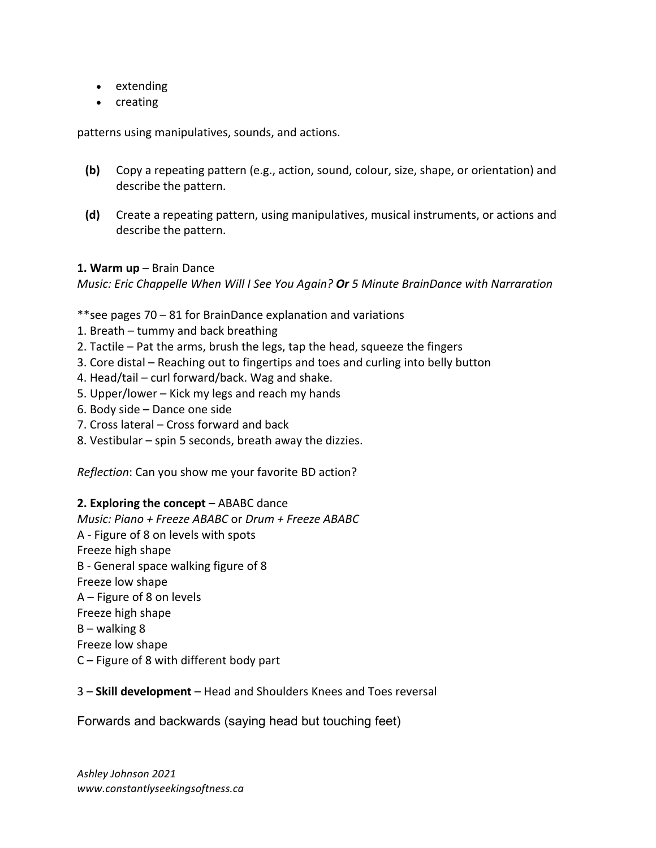- extending
- creating

patterns using manipulatives, sounds, and actions.

- **(b)** Copy a repeating pattern (e.g., action, sound, colour, size, shape, or orientation) and describe the pattern.
- **(d)** Create a repeating pattern, using manipulatives, musical instruments, or actions and describe the pattern.

#### **1. Warm up** – Brain Dance

*Music: Eric Chappelle When Will I See You Again? Or 5 Minute BrainDance with Narraration* 

\*\*see pages  $70 - 81$  for BrainDance explanation and variations

- 1. Breath  $-$  tummy and back breathing
- 2. Tactile  $-$  Pat the arms, brush the legs, tap the head, squeeze the fingers
- 3. Core distal Reaching out to fingertips and toes and curling into belly button
- 4. Head/tail  $-$  curl forward/back. Wag and shake.
- 5. Upper/lower  $-$  Kick my legs and reach my hands
- 6. Body side  $-$  Dance one side
- 7. Cross lateral Cross forward and back
- 8. Vestibular  $-$  spin 5 seconds, breath away the dizzies.

*Reflection*: Can you show me your favorite BD action?

#### **2. Exploring the concept** – ABABC dance

*Music: Piano + Freeze ABABC* or *Drum + Freeze ABABC* A - Figure of 8 on levels with spots Freeze high shape B - General space walking figure of 8 Freeze low shape  $A$  – Figure of 8 on levels Freeze high shape  $B$  – walking 8 Freeze low shape  $C$  – Figure of 8 with different body part

#### 3 – **Skill development** – Head and Shoulders Knees and Toes reversal

Forwards and backwards (saying head but touching feet)

*Ashley Johnson 2021 www.constantlyseekingsoftness.ca*